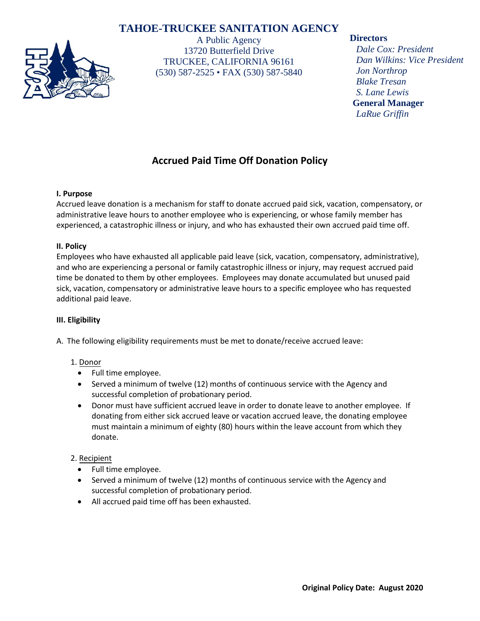# **TAHOE-TRUCKEE SANITATION AGENCY**



A Public Agency 13720 Butterfield Drive TRUCKEE, CALIFORNIA 96161 (530) 587-2525 • FAX (530) 587-5840

## **Directors**

*Dale Cox: President Dan Wilkins: Vice President Jon Northrop Blake Tresan S. Lane Lewis* **General Manager** *LaRue Griffin*

# **Accrued Paid Time Off Donation Policy**

### **I. Purpose**

Accrued leave donation is a mechanism for staff to donate accrued paid sick, vacation, compensatory, or administrative leave hours to another employee who is experiencing, or whose family member has experienced, a catastrophic illness or injury, and who has exhausted their own accrued paid time off.

## **II. Policy**

Employees who have exhausted all applicable paid leave (sick, vacation, compensatory, administrative), and who are experiencing a personal or family catastrophic illness or injury, may request accrued paid time be donated to them by other employees. Employees may donate accumulated but unused paid sick, vacation, compensatory or administrative leave hours to a specific employee who has requested additional paid leave.

### **III. Eligibility**

A. The following eligibility requirements must be met to donate/receive accrued leave:

## 1. Donor

- Full time employee.
- Served a minimum of twelve (12) months of continuous service with the Agency and successful completion of probationary period.
- Donor must have sufficient accrued leave in order to donate leave to another employee. If donating from either sick accrued leave or vacation accrued leave, the donating employee must maintain a minimum of eighty (80) hours within the leave account from which they donate.

## 2. Recipient

- Full time employee.
- Served a minimum of twelve (12) months of continuous service with the Agency and successful completion of probationary period.
- All accrued paid time off has been exhausted.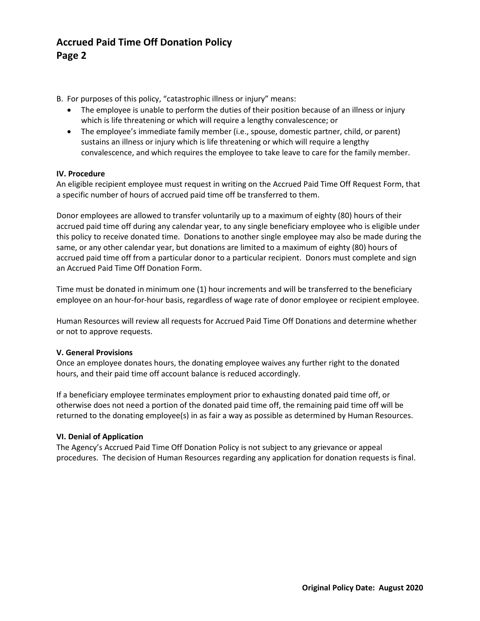# **Accrued Paid Time Off Donation Policy Page 2**

B. For purposes of this policy, "catastrophic illness or injury" means:

- The employee is unable to perform the duties of their position because of an illness or injury which is life threatening or which will require a lengthy convalescence; or
- The employee's immediate family member (i.e., spouse, domestic partner, child, or parent) sustains an illness or injury which is life threatening or which will require a lengthy convalescence, and which requires the employee to take leave to care for the family member.

#### **IV. Procedure**

An eligible recipient employee must request in writing on the Accrued Paid Time Off Request Form, that a specific number of hours of accrued paid time off be transferred to them.

Donor employees are allowed to transfer voluntarily up to a maximum of eighty (80) hours of their accrued paid time off during any calendar year, to any single beneficiary employee who is eligible under this policy to receive donated time. Donations to another single employee may also be made during the same, or any other calendar year, but donations are limited to a maximum of eighty (80) hours of accrued paid time off from a particular donor to a particular recipient. Donors must complete and sign an Accrued Paid Time Off Donation Form.

Time must be donated in minimum one (1) hour increments and will be transferred to the beneficiary employee on an hour-for-hour basis, regardless of wage rate of donor employee or recipient employee.

Human Resources will review all requests for Accrued Paid Time Off Donations and determine whether or not to approve requests.

#### **V. General Provisions**

Once an employee donates hours, the donating employee waives any further right to the donated hours, and their paid time off account balance is reduced accordingly.

If a beneficiary employee terminates employment prior to exhausting donated paid time off, or otherwise does not need a portion of the donated paid time off, the remaining paid time off will be returned to the donating employee(s) in as fair a way as possible as determined by Human Resources.

#### **VI. Denial of Application**

The Agency's Accrued Paid Time Off Donation Policy is not subject to any grievance or appeal procedures. The decision of Human Resources regarding any application for donation requests is final.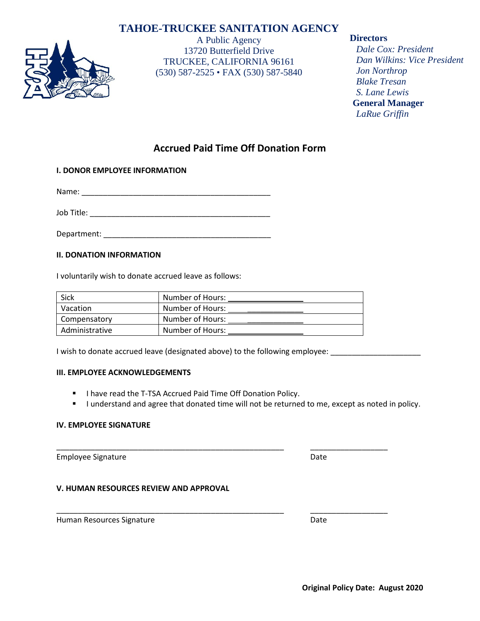# **TAHOE-TRUCKEE SANITATION AGENCY**



A Public Agency 13720 Butterfield Drive TRUCKEE, CALIFORNIA 96161 (530) 587-2525 • FAX (530) 587-5840

## **Directors**

*Dale Cox: President Dan Wilkins: Vice President Jon Northrop Blake Tresan S. Lane Lewis* **General Manager** *LaRue Griffin*

# **Accrued Paid Time Off Donation Form**

### **I. DONOR EMPLOYEE INFORMATION**

Name: \_\_\_\_\_\_\_\_\_\_\_\_\_\_\_\_\_\_\_\_\_\_\_\_\_\_\_\_\_\_\_\_\_\_\_\_\_\_\_\_\_\_\_\_

Job Title:  $\Box$ 

Department: \_\_\_\_\_\_\_\_\_\_\_\_\_\_\_\_\_\_\_\_\_\_\_\_\_\_\_\_\_\_\_\_\_\_\_\_\_\_\_

#### **II. DONATION INFORMATION**

I voluntarily wish to donate accrued leave as follows:

| Sick           | Number of Hours: |
|----------------|------------------|
| Vacation       | Number of Hours: |
| Compensatory   | Number of Hours: |
| Administrative | Number of Hours: |

I wish to donate accrued leave (designated above) to the following employee: \_\_\_\_\_\_\_\_\_\_\_\_\_\_\_\_\_\_\_\_\_\_\_\_\_\_\_\_\_\_\_\_\_

#### **III. EMPLOYEE ACKNOWLEDGEMENTS**

- **I have read the T-TSA Accrued Paid Time Off Donation Policy.**
- I understand and agree that donated time will not be returned to me, except as noted in policy.

\_\_\_\_\_\_\_\_\_\_\_\_\_\_\_\_\_\_\_\_\_\_\_\_\_\_\_\_\_\_\_\_\_\_\_\_\_\_\_\_\_\_\_\_\_\_\_\_\_\_\_\_\_ \_\_\_\_\_\_\_\_\_\_\_\_\_\_\_\_\_\_

\_\_\_\_\_\_\_\_\_\_\_\_\_\_\_\_\_\_\_\_\_\_\_\_\_\_\_\_\_\_\_\_\_\_\_\_\_\_\_\_\_\_\_\_\_\_\_\_\_\_\_\_\_ \_\_\_\_\_\_\_\_\_\_\_\_\_\_\_\_\_\_

#### **IV. EMPLOYEE SIGNATURE**

Employee Signature **Date** Date **Date** 

#### **V. HUMAN RESOURCES REVIEW AND APPROVAL**

Human Resources Signature **Date** Date